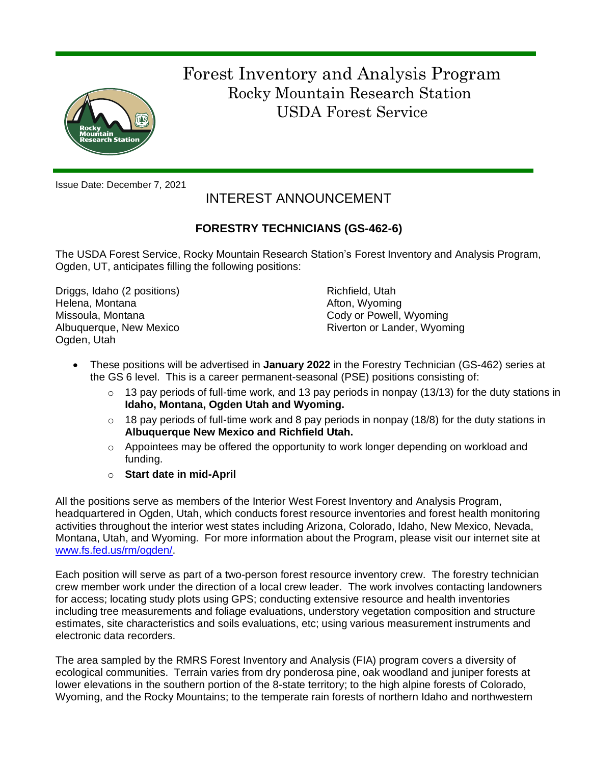

 Forest Inventory and Analysis Program Rocky Mountain Research Station USDA Forest Service

Issue Date: December 7, 2021

# INTEREST ANNOUNCEMENT

# **FORESTRY TECHNICIANS (GS-462-6)**

The USDA Forest Service, Rocky Mountain Research Station's Forest Inventory and Analysis Program, Ogden, UT, anticipates filling the following positions:

Driggs, Idaho (2 positions) Helena, Montana Missoula, Montana Albuquerque, New Mexico Ogden, Utah

Richfield, Utah Afton, Wyoming Cody or Powell, Wyoming Riverton or Lander, Wyoming

- These positions will be advertised in **January 2022** in the Forestry Technician (GS-462) series at the GS 6 level. This is a career permanent-seasonal (PSE) positions consisting of:
	- o 13 pay periods of full-time work, and 13 pay periods in nonpay (13/13) for the duty stations in **Idaho, Montana, Ogden Utah and Wyoming.**
	- $\circ$  18 pay periods of full-time work and 8 pay periods in nonpay (18/8) for the duty stations in **Albuquerque New Mexico and Richfield Utah.**
	- $\circ$  Appointees may be offered the opportunity to work longer depending on workload and funding.
	- o **Start date in mid-April**

All the positions serve as members of the Interior West Forest Inventory and Analysis Program, headquartered in Ogden, Utah, which conducts forest resource inventories and forest health monitoring activities throughout the interior west states including Arizona, Colorado, Idaho, New Mexico, Nevada, Montana, Utah, and Wyoming. For more information about the Program, please visit our internet site at [www.fs.fed.us/rm/ogden/.](http://www.fs.fed.us/rm/ogden/)

Each position will serve as part of a two-person forest resource inventory crew. The forestry technician crew member work under the direction of a local crew leader. The work involves contacting landowners for access; locating study plots using GPS; conducting extensive resource and health inventories including tree measurements and foliage evaluations, understory vegetation composition and structure estimates, site characteristics and soils evaluations, etc; using various measurement instruments and electronic data recorders.

The area sampled by the RMRS Forest Inventory and Analysis (FIA) program covers a diversity of ecological communities. Terrain varies from dry ponderosa pine, oak woodland and juniper forests at lower elevations in the southern portion of the 8-state territory; to the high alpine forests of Colorado, Wyoming, and the Rocky Mountains; to the temperate rain forests of northern Idaho and northwestern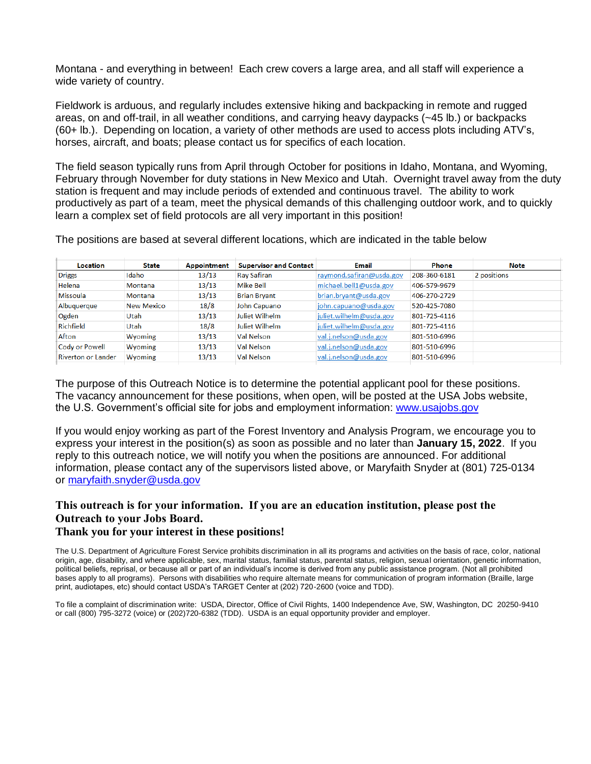Montana - and everything in between! Each crew covers a large area, and all staff will experience a wide variety of country.

Fieldwork is arduous, and regularly includes extensive hiking and backpacking in remote and rugged areas, on and off-trail, in all weather conditions, and carrying heavy daypacks (~45 lb.) or backpacks (60+ lb.). Depending on location, a variety of other methods are used to access plots including ATV's, horses, aircraft, and boats; please contact us for specifics of each location.

The field season typically runs from April through October for positions in Idaho, Montana, and Wyoming, February through November for duty stations in New Mexico and Utah. Overnight travel away from the duty station is frequent and may include periods of extended and continuous travel. The ability to work productively as part of a team, meet the physical demands of this challenging outdoor work, and to quickly learn a complex set of field protocols are all very important in this position!

The positions are based at several different locations, which are indicated in the table below

| Location           | <b>State</b>   | <b>Appointment</b> | <b>Supervisor and Contact</b> | Email                    | Phone        | Note        |
|--------------------|----------------|--------------------|-------------------------------|--------------------------|--------------|-------------|
| <b>Driggs</b>      | Idaho          | 13/13              | <b>Ray Safiran</b>            | raymond.safiran@usda.gov | 208-360-6181 | 2 positions |
| Helena             | <b>Montana</b> | 13/13              | <b>Mike Bell</b>              | michael.bell1@usda.gov   | 406-579-9679 |             |
| Missoula           | <b>Montana</b> | 13/13              | <b>Brian Bryant</b>           | brian.bryant@usda.gov    | 406-270-2729 |             |
| Albuquerque        | New Mexico     | 18/8               | John Capuano                  | john.capuano@usda.gov    | 520-425-7080 |             |
| Ogden              | Utah           | 13/13              | Juliet Wilhelm                | juliet.wilhelm@usda.gov  | 801-725-4116 |             |
| Richfield          | Utah           | 18/8               | Juliet Wilhelm                | juliet.wilhelm@usda.gov  | 801-725-4116 |             |
| Afton              | <b>Wyoming</b> | 13/13              | <b>Val Nelson</b>             | val.j.nelson@usda.gov    | 801-510-6996 |             |
| Cody or Powell     | <b>Wyoming</b> | 13/13              | <b>Val Nelson</b>             | val.j.nelson@usda.gov    | 801-510-6996 |             |
| Riverton or Lander | Wyoming        | 13/13              | <b>Val Nelson</b>             | val.j.nelson@usda.gov    | 801-510-6996 |             |

The purpose of this Outreach Notice is to determine the potential applicant pool for these positions. The vacancy announcement for these positions, when open, will be posted at the USA Jobs website, the U.S. Government's official site for jobs and employment information: [www.usajobs.gov](http://www.usajobs.gov/)

If you would enjoy working as part of the Forest Inventory and Analysis Program, we encourage you to express your interest in the position(s) as soon as possible and no later than **January 15, 2022**. If you reply to this outreach notice, we will notify you when the positions are announced. For additional information, please contact any of the supervisors listed above, or Maryfaith Snyder at (801) 725-0134 or [maryfaith.snyder@usda.gov](mailto:maryfaith.snyder@usda.gov)

# **This outreach is for your information. If you are an education institution, please post the Outreach to your Jobs Board.**

#### **Thank you for your interest in these positions!**

The U.S. Department of Agriculture Forest Service prohibits discrimination in all its programs and activities on the basis of race, color, national origin, age, disability, and where applicable, sex, marital status, familial status, parental status, religion, sexual orientation, genetic information, political beliefs, reprisal, or because all or part of an individual's income is derived from any public assistance program. (Not all prohibited bases apply to all programs). Persons with disabilities who require alternate means for communication of program information (Braille, large print, audiotapes, etc) should contact USDA's TARGET Center at (202) 720-2600 (voice and TDD).

To file a complaint of discrimination write: USDA, Director, Office of Civil Rights, 1400 Independence Ave, SW, Washington, DC 20250-9410 or call (800) 795-3272 (voice) or (202)720-6382 (TDD). USDA is an equal opportunity provider and employer.